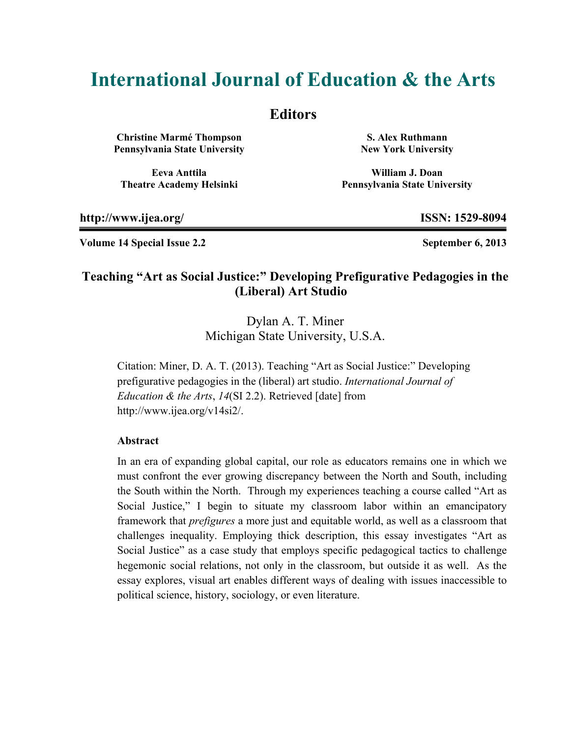# **International Journal of Education & the Arts**

## **Editors**

**Christine Marmé Thompson Pennsylvania State University** 

**Eeva Anttila Theatre Academy Helsinki** 

**S. Alex Ruthmann New York University**

**William J. Doan Pennsylvania State University**

**http://www.ijea.org/ ISSN: 1529-8094** 

**Volume 14 Special Issue 2.2 September 6, 2013** 

## **Teaching "Art as Social Justice:" Developing Prefigurative Pedagogies in the (Liberal) Art Studio**

Dylan A. T. Miner Michigan State University, U.S.A.

Citation: Miner, D. A. T. (2013). Teaching "Art as Social Justice:" Developing prefigurative pedagogies in the (liberal) art studio. *International Journal of Education & the Arts*, *14*(SI 2.2). Retrieved [date] from http://www.ijea.org/v14si2/.

#### **Abstract**

In an era of expanding global capital, our role as educators remains one in which we must confront the ever growing discrepancy between the North and South, including the South within the North. Through my experiences teaching a course called "Art as Social Justice," I begin to situate my classroom labor within an emancipatory framework that *prefigures* a more just and equitable world, as well as a classroom that challenges inequality. Employing thick description, this essay investigates "Art as Social Justice" as a case study that employs specific pedagogical tactics to challenge hegemonic social relations, not only in the classroom, but outside it as well. As the essay explores, visual art enables different ways of dealing with issues inaccessible to political science, history, sociology, or even literature.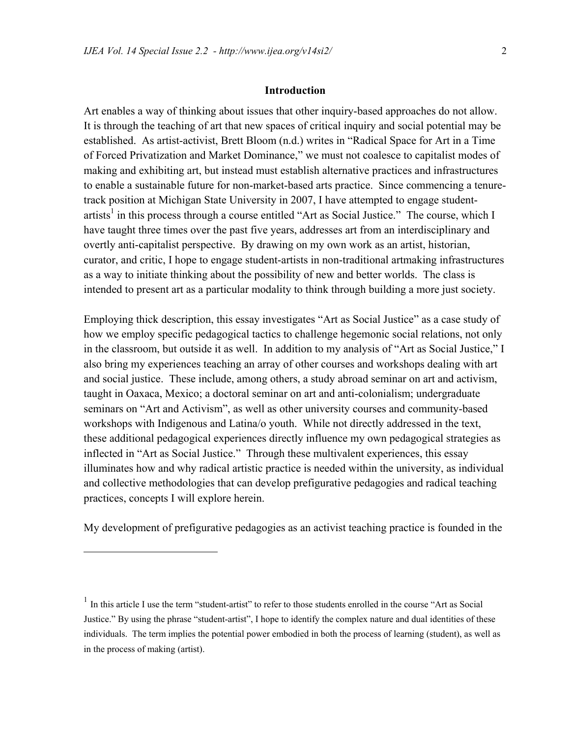#### **Introduction**

Art enables a way of thinking about issues that other inquiry-based approaches do not allow. It is through the teaching of art that new spaces of critical inquiry and social potential may be established. As artist-activist, Brett Bloom (n.d.) writes in "Radical Space for Art in a Time of Forced Privatization and Market Dominance," we must not coalesce to capitalist modes of making and exhibiting art, but instead must establish alternative practices and infrastructures to enable a sustainable future for non-market-based arts practice. Since commencing a tenuretrack position at Michigan State University in 2007, I have attempted to engage studentartists<sup>1</sup> in this process through a course entitled "Art as Social Justice." The course, which I have taught three times over the past five years, addresses art from an interdisciplinary and overtly anti-capitalist perspective. By drawing on my own work as an artist, historian, curator, and critic, I hope to engage student-artists in non-traditional artmaking infrastructures as a way to initiate thinking about the possibility of new and better worlds. The class is intended to present art as a particular modality to think through building a more just society.

Employing thick description, this essay investigates "Art as Social Justice" as a case study of how we employ specific pedagogical tactics to challenge hegemonic social relations, not only in the classroom, but outside it as well. In addition to my analysis of "Art as Social Justice," I also bring my experiences teaching an array of other courses and workshops dealing with art and social justice. These include, among others, a study abroad seminar on art and activism, taught in Oaxaca, Mexico; a doctoral seminar on art and anti-colonialism; undergraduate seminars on "Art and Activism", as well as other university courses and community-based workshops with Indigenous and Latina/o youth. While not directly addressed in the text, these additional pedagogical experiences directly influence my own pedagogical strategies as inflected in "Art as Social Justice." Through these multivalent experiences, this essay illuminates how and why radical artistic practice is needed within the university, as individual and collective methodologies that can develop prefigurative pedagogies and radical teaching practices, concepts I will explore herein.

My development of prefigurative pedagogies as an activist teaching practice is founded in the

 $\overline{a}$ 

<sup>&</sup>lt;sup>1</sup> In this article I use the term "student-artist" to refer to those students enrolled in the course "Art as Social" Justice." By using the phrase "student-artist", I hope to identify the complex nature and dual identities of these individuals. The term implies the potential power embodied in both the process of learning (student), as well as in the process of making (artist).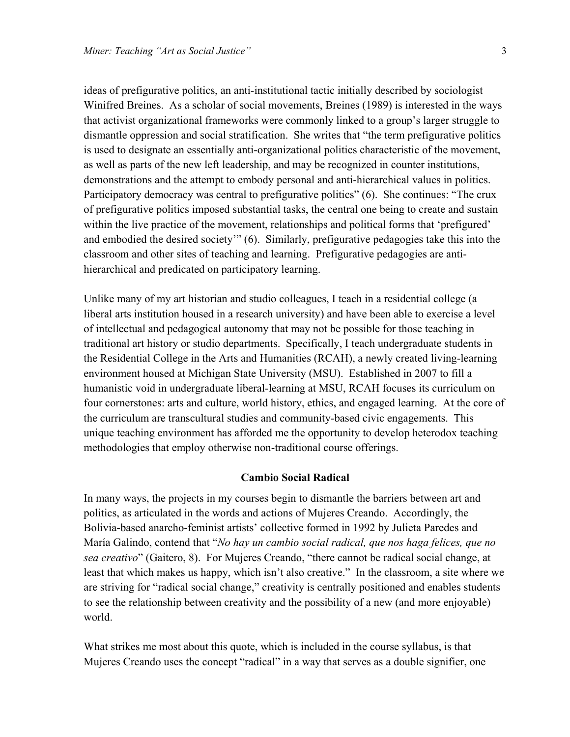ideas of prefigurative politics, an anti-institutional tactic initially described by sociologist Winifred Breines. As a scholar of social movements, Breines (1989) is interested in the ways that activist organizational frameworks were commonly linked to a group's larger struggle to dismantle oppression and social stratification. She writes that "the term prefigurative politics is used to designate an essentially anti-organizational politics characteristic of the movement, as well as parts of the new left leadership, and may be recognized in counter institutions, demonstrations and the attempt to embody personal and anti-hierarchical values in politics. Participatory democracy was central to prefigurative politics" (6). She continues: "The crux of prefigurative politics imposed substantial tasks, the central one being to create and sustain within the live practice of the movement, relationships and political forms that 'prefigured' and embodied the desired society'" (6). Similarly, prefigurative pedagogies take this into the classroom and other sites of teaching and learning. Prefigurative pedagogies are antihierarchical and predicated on participatory learning.

Unlike many of my art historian and studio colleagues, I teach in a residential college (a liberal arts institution housed in a research university) and have been able to exercise a level of intellectual and pedagogical autonomy that may not be possible for those teaching in traditional art history or studio departments. Specifically, I teach undergraduate students in the Residential College in the Arts and Humanities (RCAH), a newly created living-learning environment housed at Michigan State University (MSU). Established in 2007 to fill a humanistic void in undergraduate liberal-learning at MSU, RCAH focuses its curriculum on four cornerstones: arts and culture, world history, ethics, and engaged learning. At the core of the curriculum are transcultural studies and community-based civic engagements. This unique teaching environment has afforded me the opportunity to develop heterodox teaching methodologies that employ otherwise non-traditional course offerings.

#### **Cambio Social Radical**

In many ways, the projects in my courses begin to dismantle the barriers between art and politics, as articulated in the words and actions of Mujeres Creando. Accordingly, the Bolivia-based anarcho-feminist artists' collective formed in 1992 by Julieta Paredes and María Galindo, contend that "*No hay un cambio social radical, que nos haga felices, que no sea creativo*" (Gaitero, 8). For Mujeres Creando, "there cannot be radical social change, at least that which makes us happy, which isn't also creative." In the classroom, a site where we are striving for "radical social change," creativity is centrally positioned and enables students to see the relationship between creativity and the possibility of a new (and more enjoyable) world.

What strikes me most about this quote, which is included in the course syllabus, is that Mujeres Creando uses the concept "radical" in a way that serves as a double signifier, one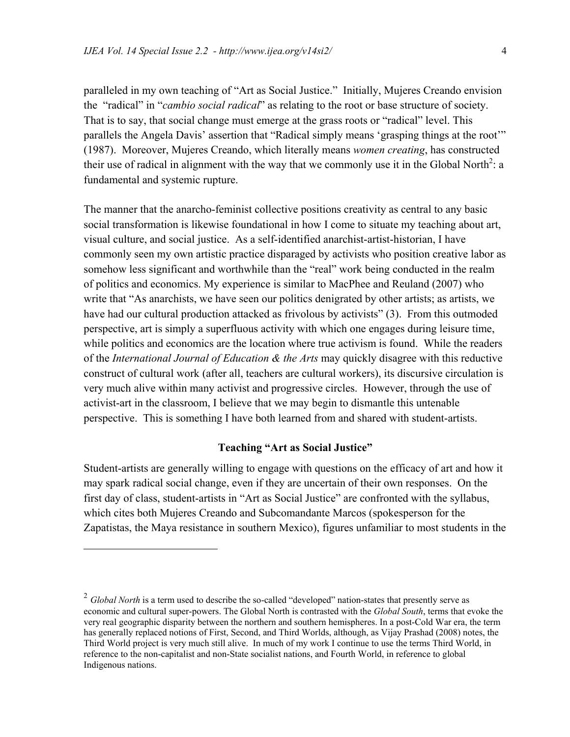paralleled in my own teaching of "Art as Social Justice." Initially, Mujeres Creando envision the "radical" in "*cambio social radical*" as relating to the root or base structure of society. That is to say, that social change must emerge at the grass roots or "radical" level. This parallels the Angela Davis' assertion that "Radical simply means 'grasping things at the root'" (1987). Moreover, Mujeres Creando, which literally means *women creating*, has constructed their use of radical in alignment with the way that we commonly use it in the Global North<sup>2</sup>: a fundamental and systemic rupture.

The manner that the anarcho-feminist collective positions creativity as central to any basic social transformation is likewise foundational in how I come to situate my teaching about art, visual culture, and social justice. As a self-identified anarchist-artist-historian, I have commonly seen my own artistic practice disparaged by activists who position creative labor as somehow less significant and worthwhile than the "real" work being conducted in the realm of politics and economics. My experience is similar to MacPhee and Reuland (2007) who write that "As anarchists, we have seen our politics denigrated by other artists; as artists, we have had our cultural production attacked as frivolous by activists" (3). From this outmoded perspective, art is simply a superfluous activity with which one engages during leisure time, while politics and economics are the location where true activism is found. While the readers of the *International Journal of Education & the Arts* may quickly disagree with this reductive construct of cultural work (after all, teachers are cultural workers), its discursive circulation is very much alive within many activist and progressive circles. However, through the use of activist-art in the classroom, I believe that we may begin to dismantle this untenable perspective. This is something I have both learned from and shared with student-artists.

#### **Teaching "Art as Social Justice"**

Student-artists are generally willing to engage with questions on the efficacy of art and how it may spark radical social change, even if they are uncertain of their own responses. On the first day of class, student-artists in "Art as Social Justice" are confronted with the syllabus, which cites both Mujeres Creando and Subcomandante Marcos (spokesperson for the Zapatistas, the Maya resistance in southern Mexico), figures unfamiliar to most students in the

1

<sup>&</sup>lt;sup>2</sup> *Global North* is a term used to describe the so-called "developed" nation-states that presently serve as economic and cultural super-powers. The Global North is contrasted with the *Global South*, terms that evoke the very real geographic disparity between the northern and southern hemispheres. In a post-Cold War era, the term has generally replaced notions of First, Second, and Third Worlds, although, as Vijay Prashad (2008) notes, the Third World project is very much still alive. In much of my work I continue to use the terms Third World, in reference to the non-capitalist and non-State socialist nations, and Fourth World, in reference to global Indigenous nations.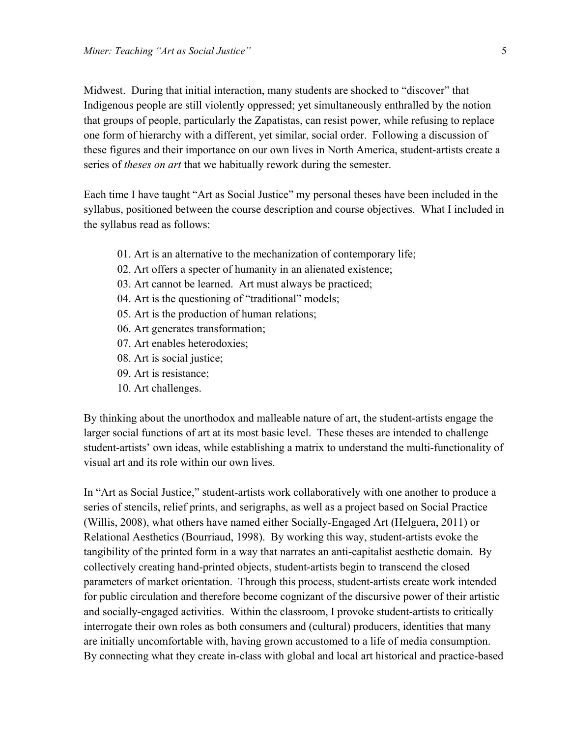Midwest. During that initial interaction, many students are shocked to "discover" that Indigenous people are still violently oppressed; yet simultaneously enthralled by the notion that groups of people, particularly the Zapatistas, can resist power, while refusing to replace one form of hierarchy with a different, yet similar, social order. Following a discussion of these figures and their importance on our own lives in North America, student-artists create a series of *theses on art* that we habitually rework during the semester.

Each time I have taught "Art as Social Justice" my personal theses have been included in the syllabus, positioned between the course description and course objectives. What I included in the syllabus read as follows:

- 01. Art is an alternative to the mechanization of contemporary life;
- 02. Art offers a specter of humanity in an alienated existence;
- 03. Art cannot be learned. Art must always be practiced;
- 04. Art is the questioning of "traditional" models;
- 05. Art is the production of human relations;
- 06. Art generates transformation;
- 07. Art enables heterodoxies;
- 08. Art is social justice;
- 09. Art is resistance;
- 10. Art challenges.

By thinking about the unorthodox and malleable nature of art, the student-artists engage the larger social functions of art at its most basic level. These theses are intended to challenge student-artists' own ideas, while establishing a matrix to understand the multi-functionality of visual art and its role within our own lives.

In "Art as Social Justice," student-artists work collaboratively with one another to produce a series of stencils, relief prints, and serigraphs, as well as a project based on Social Practice (Willis, 2008), what others have named either Socially-Engaged Art (Helguera, 2011) or Relational Aesthetics (Bourriaud, 1998). By working this way, student-artists evoke the tangibility of the printed form in a way that narrates an anti-capitalist aesthetic domain. By collectively creating hand-printed objects, student-artists begin to transcend the closed parameters of market orientation. Through this process, student-artists create work intended for public circulation and therefore become cognizant of the discursive power of their artistic and socially-engaged activities. Within the classroom, I provoke student-artists to critically interrogate their own roles as both consumers and (cultural) producers, identities that many are initially uncomfortable with, having grown accustomed to a life of media consumption. By connecting what they create in-class with global and local art historical and practice-based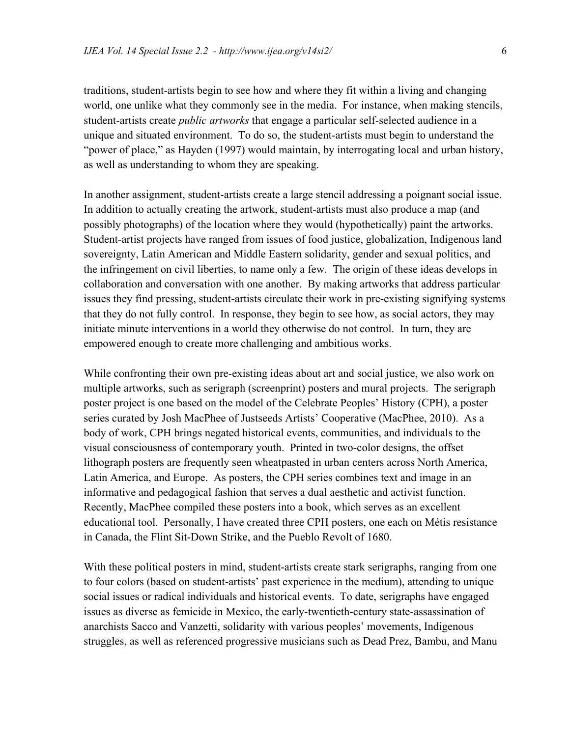traditions, student-artists begin to see how and where they fit within a living and changing world, one unlike what they commonly see in the media. For instance, when making stencils, student-artists create *public artworks* that engage a particular self-selected audience in a unique and situated environment. To do so, the student-artists must begin to understand the "power of place," as Hayden (1997) would maintain, by interrogating local and urban history, as well as understanding to whom they are speaking.

In another assignment, student-artists create a large stencil addressing a poignant social issue. In addition to actually creating the artwork, student-artists must also produce a map (and possibly photographs) of the location where they would (hypothetically) paint the artworks. Student-artist projects have ranged from issues of food justice, globalization, Indigenous land sovereignty, Latin American and Middle Eastern solidarity, gender and sexual politics, and the infringement on civil liberties, to name only a few. The origin of these ideas develops in collaboration and conversation with one another. By making artworks that address particular issues they find pressing, student-artists circulate their work in pre-existing signifying systems that they do not fully control. In response, they begin to see how, as social actors, they may initiate minute interventions in a world they otherwise do not control. In turn, they are empowered enough to create more challenging and ambitious works.

While confronting their own pre-existing ideas about art and social justice, we also work on multiple artworks, such as serigraph (screenprint) posters and mural projects. The serigraph poster project is one based on the model of the Celebrate Peoples' History (CPH), a poster series curated by Josh MacPhee of Justseeds Artists' Cooperative (MacPhee, 2010). As a body of work, CPH brings negated historical events, communities, and individuals to the visual consciousness of contemporary youth. Printed in two-color designs, the offset lithograph posters are frequently seen wheatpasted in urban centers across North America, Latin America, and Europe. As posters, the CPH series combines text and image in an informative and pedagogical fashion that serves a dual aesthetic and activist function. Recently, MacPhee compiled these posters into a book, which serves as an excellent educational tool. Personally, I have created three CPH posters, one each on Métis resistance in Canada, the Flint Sit-Down Strike, and the Pueblo Revolt of 1680.

With these political posters in mind, student-artists create stark serigraphs, ranging from one to four colors (based on student-artists' past experience in the medium), attending to unique social issues or radical individuals and historical events. To date, serigraphs have engaged issues as diverse as femicide in Mexico, the early-twentieth-century state-assassination of anarchists Sacco and Vanzetti, solidarity with various peoples' movements, Indigenous struggles, as well as referenced progressive musicians such as Dead Prez, Bambu, and Manu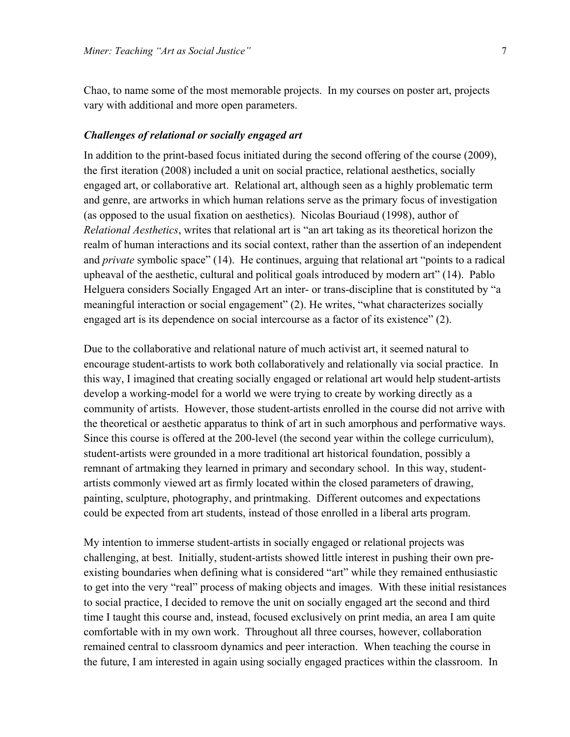Chao, to name some of the most memorable projects. In my courses on poster art, projects vary with additional and more open parameters.

#### *Challenges of relational or socially engaged art*

In addition to the print-based focus initiated during the second offering of the course (2009), the first iteration (2008) included a unit on social practice, relational aesthetics, socially engaged art, or collaborative art. Relational art, although seen as a highly problematic term and genre, are artworks in which human relations serve as the primary focus of investigation (as opposed to the usual fixation on aesthetics). Nicolas Bouriaud (1998), author of *Relational Aesthetics*, writes that relational art is "an art taking as its theoretical horizon the realm of human interactions and its social context, rather than the assertion of an independent and *private* symbolic space" (14). He continues, arguing that relational art "points to a radical upheaval of the aesthetic, cultural and political goals introduced by modern art" (14). Pablo Helguera considers Socially Engaged Art an inter- or trans-discipline that is constituted by "a meaningful interaction or social engagement" (2). He writes, "what characterizes socially engaged art is its dependence on social intercourse as a factor of its existence" (2).

Due to the collaborative and relational nature of much activist art, it seemed natural to encourage student-artists to work both collaboratively and relationally via social practice. In this way, I imagined that creating socially engaged or relational art would help student-artists develop a working-model for a world we were trying to create by working directly as a community of artists. However, those student-artists enrolled in the course did not arrive with the theoretical or aesthetic apparatus to think of art in such amorphous and performative ways. Since this course is offered at the 200-level (the second year within the college curriculum), student-artists were grounded in a more traditional art historical foundation, possibly a remnant of artmaking they learned in primary and secondary school. In this way, studentartists commonly viewed art as firmly located within the closed parameters of drawing, painting, sculpture, photography, and printmaking. Different outcomes and expectations could be expected from art students, instead of those enrolled in a liberal arts program.

My intention to immerse student-artists in socially engaged or relational projects was challenging, at best. Initially, student-artists showed little interest in pushing their own preexisting boundaries when defining what is considered "art" while they remained enthusiastic to get into the very "real" process of making objects and images. With these initial resistances to social practice, I decided to remove the unit on socially engaged art the second and third time I taught this course and, instead, focused exclusively on print media, an area I am quite comfortable with in my own work. Throughout all three courses, however, collaboration remained central to classroom dynamics and peer interaction. When teaching the course in the future, I am interested in again using socially engaged practices within the classroom. In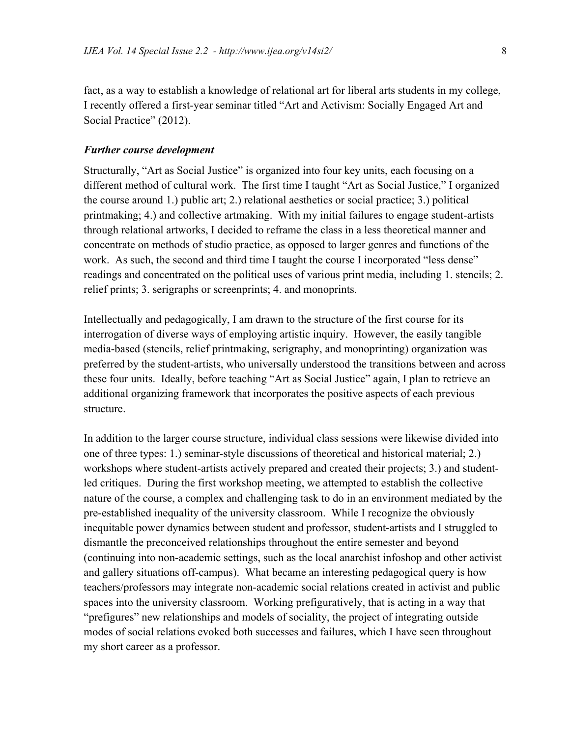fact, as a way to establish a knowledge of relational art for liberal arts students in my college, I recently offered a first-year seminar titled "Art and Activism: Socially Engaged Art and Social Practice" (2012).

#### *Further course development*

Structurally, "Art as Social Justice" is organized into four key units, each focusing on a different method of cultural work. The first time I taught "Art as Social Justice," I organized the course around 1.) public art; 2.) relational aesthetics or social practice; 3.) political printmaking; 4.) and collective artmaking. With my initial failures to engage student-artists through relational artworks, I decided to reframe the class in a less theoretical manner and concentrate on methods of studio practice, as opposed to larger genres and functions of the work. As such, the second and third time I taught the course I incorporated "less dense" readings and concentrated on the political uses of various print media, including 1. stencils; 2. relief prints; 3. serigraphs or screenprints; 4. and monoprints.

Intellectually and pedagogically, I am drawn to the structure of the first course for its interrogation of diverse ways of employing artistic inquiry. However, the easily tangible media-based (stencils, relief printmaking, serigraphy, and monoprinting) organization was preferred by the student-artists, who universally understood the transitions between and across these four units. Ideally, before teaching "Art as Social Justice" again, I plan to retrieve an additional organizing framework that incorporates the positive aspects of each previous structure.

In addition to the larger course structure, individual class sessions were likewise divided into one of three types: 1.) seminar-style discussions of theoretical and historical material; 2.) workshops where student-artists actively prepared and created their projects; 3.) and studentled critiques. During the first workshop meeting, we attempted to establish the collective nature of the course, a complex and challenging task to do in an environment mediated by the pre-established inequality of the university classroom. While I recognize the obviously inequitable power dynamics between student and professor, student-artists and I struggled to dismantle the preconceived relationships throughout the entire semester and beyond (continuing into non-academic settings, such as the local anarchist infoshop and other activist and gallery situations off-campus). What became an interesting pedagogical query is how teachers/professors may integrate non-academic social relations created in activist and public spaces into the university classroom. Working prefiguratively, that is acting in a way that "prefigures" new relationships and models of sociality, the project of integrating outside modes of social relations evoked both successes and failures, which I have seen throughout my short career as a professor.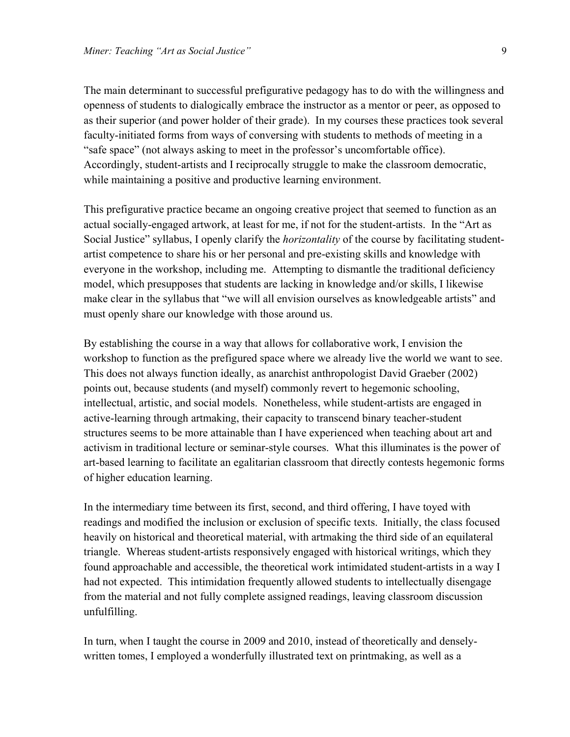The main determinant to successful prefigurative pedagogy has to do with the willingness and openness of students to dialogically embrace the instructor as a mentor or peer, as opposed to as their superior (and power holder of their grade). In my courses these practices took several faculty-initiated forms from ways of conversing with students to methods of meeting in a "safe space" (not always asking to meet in the professor's uncomfortable office). Accordingly, student-artists and I reciprocally struggle to make the classroom democratic, while maintaining a positive and productive learning environment.

This prefigurative practice became an ongoing creative project that seemed to function as an actual socially-engaged artwork, at least for me, if not for the student-artists. In the "Art as Social Justice" syllabus, I openly clarify the *horizontality* of the course by facilitating studentartist competence to share his or her personal and pre-existing skills and knowledge with everyone in the workshop, including me. Attempting to dismantle the traditional deficiency model, which presupposes that students are lacking in knowledge and/or skills, I likewise make clear in the syllabus that "we will all envision ourselves as knowledgeable artists" and must openly share our knowledge with those around us.

By establishing the course in a way that allows for collaborative work, I envision the workshop to function as the prefigured space where we already live the world we want to see. This does not always function ideally, as anarchist anthropologist David Graeber (2002) points out, because students (and myself) commonly revert to hegemonic schooling, intellectual, artistic, and social models. Nonetheless, while student-artists are engaged in active-learning through artmaking, their capacity to transcend binary teacher-student structures seems to be more attainable than I have experienced when teaching about art and activism in traditional lecture or seminar-style courses. What this illuminates is the power of art-based learning to facilitate an egalitarian classroom that directly contests hegemonic forms of higher education learning.

In the intermediary time between its first, second, and third offering, I have toyed with readings and modified the inclusion or exclusion of specific texts. Initially, the class focused heavily on historical and theoretical material, with artmaking the third side of an equilateral triangle. Whereas student-artists responsively engaged with historical writings, which they found approachable and accessible, the theoretical work intimidated student-artists in a way I had not expected. This intimidation frequently allowed students to intellectually disengage from the material and not fully complete assigned readings, leaving classroom discussion unfulfilling.

In turn, when I taught the course in 2009 and 2010, instead of theoretically and denselywritten tomes, I employed a wonderfully illustrated text on printmaking, as well as a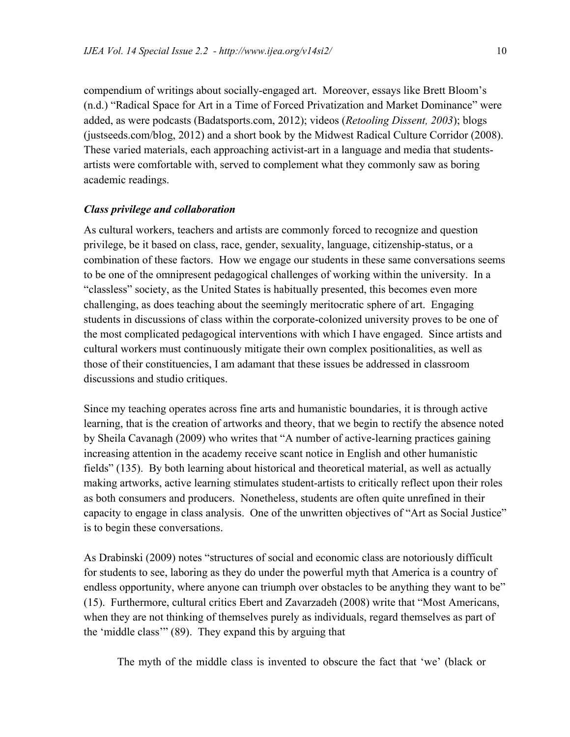compendium of writings about socially-engaged art. Moreover, essays like Brett Bloom's (n.d.) "Radical Space for Art in a Time of Forced Privatization and Market Dominance" were added, as were podcasts (Badatsports.com, 2012); videos (*Retooling Dissent, 2003*); blogs (justseeds.com/blog, 2012) and a short book by the Midwest Radical Culture Corridor (2008). These varied materials, each approaching activist-art in a language and media that studentsartists were comfortable with, served to complement what they commonly saw as boring academic readings.

#### *Class privilege and collaboration*

As cultural workers, teachers and artists are commonly forced to recognize and question privilege, be it based on class, race, gender, sexuality, language, citizenship-status, or a combination of these factors. How we engage our students in these same conversations seems to be one of the omnipresent pedagogical challenges of working within the university. In a "classless" society, as the United States is habitually presented, this becomes even more challenging, as does teaching about the seemingly meritocratic sphere of art. Engaging students in discussions of class within the corporate-colonized university proves to be one of the most complicated pedagogical interventions with which I have engaged. Since artists and cultural workers must continuously mitigate their own complex positionalities, as well as those of their constituencies, I am adamant that these issues be addressed in classroom discussions and studio critiques.

Since my teaching operates across fine arts and humanistic boundaries, it is through active learning, that is the creation of artworks and theory, that we begin to rectify the absence noted by Sheila Cavanagh (2009) who writes that "A number of active-learning practices gaining increasing attention in the academy receive scant notice in English and other humanistic fields" (135). By both learning about historical and theoretical material, as well as actually making artworks, active learning stimulates student-artists to critically reflect upon their roles as both consumers and producers. Nonetheless, students are often quite unrefined in their capacity to engage in class analysis. One of the unwritten objectives of "Art as Social Justice" is to begin these conversations.

As Drabinski (2009) notes "structures of social and economic class are notoriously difficult for students to see, laboring as they do under the powerful myth that America is a country of endless opportunity, where anyone can triumph over obstacles to be anything they want to be" (15). Furthermore, cultural critics Ebert and Zavarzadeh (2008) write that "Most Americans, when they are not thinking of themselves purely as individuals, regard themselves as part of the 'middle class'" (89). They expand this by arguing that

The myth of the middle class is invented to obscure the fact that 'we' (black or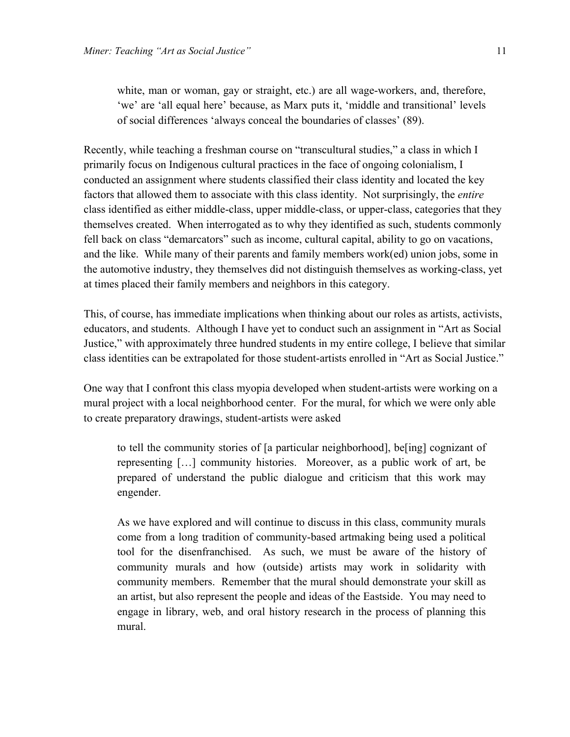white, man or woman, gay or straight, etc.) are all wage-workers, and, therefore, 'we' are 'all equal here' because, as Marx puts it, 'middle and transitional' levels of social differences 'always conceal the boundaries of classes' (89).

Recently, while teaching a freshman course on "transcultural studies," a class in which I primarily focus on Indigenous cultural practices in the face of ongoing colonialism, I conducted an assignment where students classified their class identity and located the key factors that allowed them to associate with this class identity. Not surprisingly, the *entire* class identified as either middle-class, upper middle-class, or upper-class, categories that they themselves created. When interrogated as to why they identified as such, students commonly fell back on class "demarcators" such as income, cultural capital, ability to go on vacations, and the like. While many of their parents and family members work(ed) union jobs, some in the automotive industry, they themselves did not distinguish themselves as working-class, yet at times placed their family members and neighbors in this category.

This, of course, has immediate implications when thinking about our roles as artists, activists, educators, and students. Although I have yet to conduct such an assignment in "Art as Social Justice," with approximately three hundred students in my entire college, I believe that similar class identities can be extrapolated for those student-artists enrolled in "Art as Social Justice."

One way that I confront this class myopia developed when student-artists were working on a mural project with a local neighborhood center. For the mural, for which we were only able to create preparatory drawings, student-artists were asked

to tell the community stories of [a particular neighborhood], be[ing] cognizant of representing […] community histories. Moreover, as a public work of art, be prepared of understand the public dialogue and criticism that this work may engender.

As we have explored and will continue to discuss in this class, community murals come from a long tradition of community-based artmaking being used a political tool for the disenfranchised. As such, we must be aware of the history of community murals and how (outside) artists may work in solidarity with community members. Remember that the mural should demonstrate your skill as an artist, but also represent the people and ideas of the Eastside. You may need to engage in library, web, and oral history research in the process of planning this mural.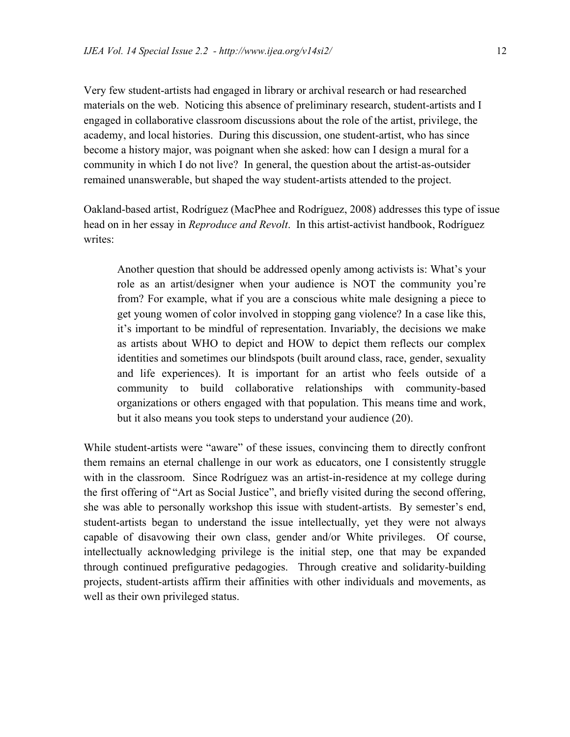Very few student-artists had engaged in library or archival research or had researched materials on the web. Noticing this absence of preliminary research, student-artists and I engaged in collaborative classroom discussions about the role of the artist, privilege, the academy, and local histories. During this discussion, one student-artist, who has since become a history major, was poignant when she asked: how can I design a mural for a community in which I do not live? In general, the question about the artist-as-outsider remained unanswerable, but shaped the way student-artists attended to the project.

Oakland-based artist, Rodríguez (MacPhee and Rodríguez, 2008) addresses this type of issue head on in her essay in *Reproduce and Revolt*. In this artist-activist handbook, Rodríguez writes:

Another question that should be addressed openly among activists is: What's your role as an artist/designer when your audience is NOT the community you're from? For example, what if you are a conscious white male designing a piece to get young women of color involved in stopping gang violence? In a case like this, it's important to be mindful of representation. Invariably, the decisions we make as artists about WHO to depict and HOW to depict them reflects our complex identities and sometimes our blindspots (built around class, race, gender, sexuality and life experiences). It is important for an artist who feels outside of a community to build collaborative relationships with community-based organizations or others engaged with that population. This means time and work, but it also means you took steps to understand your audience (20).

While student-artists were "aware" of these issues, convincing them to directly confront them remains an eternal challenge in our work as educators, one I consistently struggle with in the classroom. Since Rodríguez was an artist-in-residence at my college during the first offering of "Art as Social Justice", and briefly visited during the second offering, she was able to personally workshop this issue with student-artists. By semester's end, student-artists began to understand the issue intellectually, yet they were not always capable of disavowing their own class, gender and/or White privileges. Of course, intellectually acknowledging privilege is the initial step, one that may be expanded through continued prefigurative pedagogies. Through creative and solidarity-building projects, student-artists affirm their affinities with other individuals and movements, as well as their own privileged status.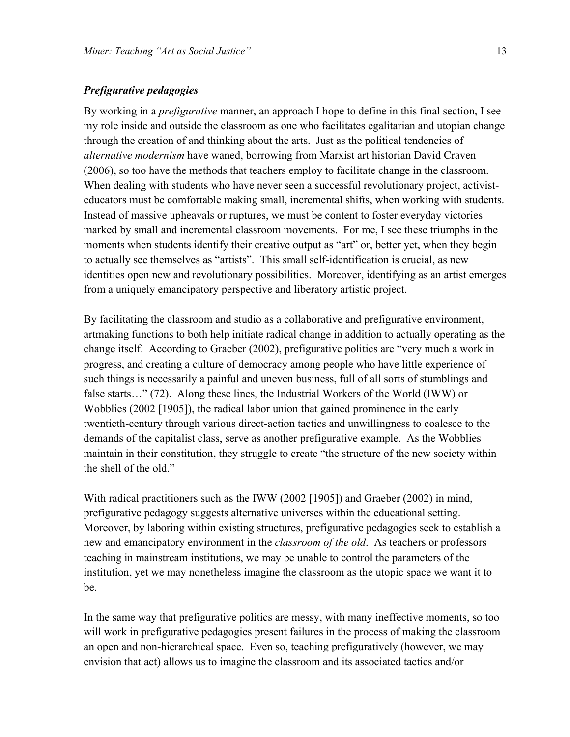#### *Prefigurative pedagogies*

By working in a *prefigurative* manner, an approach I hope to define in this final section, I see my role inside and outside the classroom as one who facilitates egalitarian and utopian change through the creation of and thinking about the arts. Just as the political tendencies of *alternative modernism* have waned, borrowing from Marxist art historian David Craven (2006), so too have the methods that teachers employ to facilitate change in the classroom. When dealing with students who have never seen a successful revolutionary project, activisteducators must be comfortable making small, incremental shifts, when working with students. Instead of massive upheavals or ruptures, we must be content to foster everyday victories marked by small and incremental classroom movements. For me, I see these triumphs in the moments when students identify their creative output as "art" or, better yet, when they begin to actually see themselves as "artists". This small self-identification is crucial, as new identities open new and revolutionary possibilities. Moreover, identifying as an artist emerges from a uniquely emancipatory perspective and liberatory artistic project.

By facilitating the classroom and studio as a collaborative and prefigurative environment, artmaking functions to both help initiate radical change in addition to actually operating as the change itself. According to Graeber (2002), prefigurative politics are "very much a work in progress, and creating a culture of democracy among people who have little experience of such things is necessarily a painful and uneven business, full of all sorts of stumblings and false starts…" (72). Along these lines, the Industrial Workers of the World (IWW) or Wobblies (2002 [1905]), the radical labor union that gained prominence in the early twentieth-century through various direct-action tactics and unwillingness to coalesce to the demands of the capitalist class, serve as another prefigurative example. As the Wobblies maintain in their constitution, they struggle to create "the structure of the new society within the shell of the old."

With radical practitioners such as the IWW (2002 [1905]) and Graeber (2002) in mind, prefigurative pedagogy suggests alternative universes within the educational setting. Moreover, by laboring within existing structures, prefigurative pedagogies seek to establish a new and emancipatory environment in the *classroom of the old*. As teachers or professors teaching in mainstream institutions, we may be unable to control the parameters of the institution, yet we may nonetheless imagine the classroom as the utopic space we want it to be.

In the same way that prefigurative politics are messy, with many ineffective moments, so too will work in prefigurative pedagogies present failures in the process of making the classroom an open and non-hierarchical space. Even so, teaching prefiguratively (however, we may envision that act) allows us to imagine the classroom and its associated tactics and/or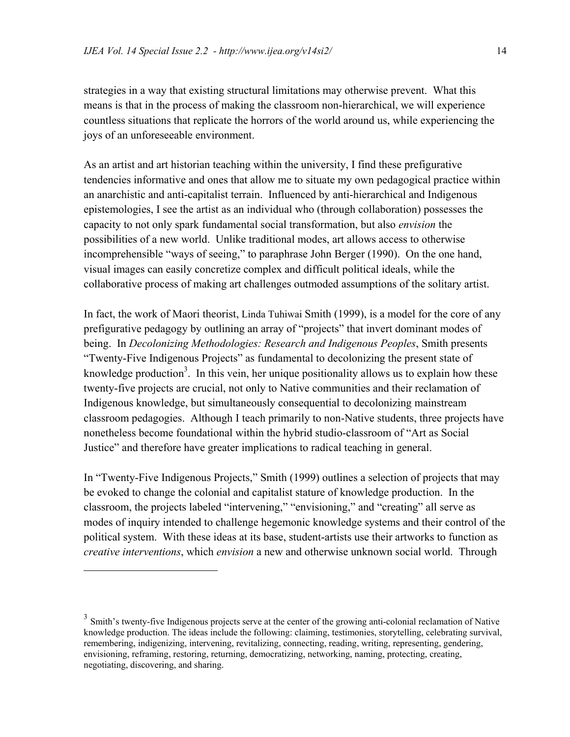strategies in a way that existing structural limitations may otherwise prevent. What this means is that in the process of making the classroom non-hierarchical, we will experience countless situations that replicate the horrors of the world around us, while experiencing the joys of an unforeseeable environment.

As an artist and art historian teaching within the university, I find these prefigurative tendencies informative and ones that allow me to situate my own pedagogical practice within an anarchistic and anti-capitalist terrain. Influenced by anti-hierarchical and Indigenous epistemologies, I see the artist as an individual who (through collaboration) possesses the capacity to not only spark fundamental social transformation, but also *envision* the possibilities of a new world. Unlike traditional modes, art allows access to otherwise incomprehensible "ways of seeing," to paraphrase John Berger (1990). On the one hand, visual images can easily concretize complex and difficult political ideals, while the collaborative process of making art challenges outmoded assumptions of the solitary artist.

In fact, the work of Maori theorist, Linda Tuhiwai Smith (1999), is a model for the core of any prefigurative pedagogy by outlining an array of "projects" that invert dominant modes of being. In *Decolonizing Methodologies: Research and Indigenous Peoples*, Smith presents "Twenty-Five Indigenous Projects" as fundamental to decolonizing the present state of knowledge production<sup>3</sup>. In this vein, her unique positionality allows us to explain how these twenty-five projects are crucial, not only to Native communities and their reclamation of Indigenous knowledge, but simultaneously consequential to decolonizing mainstream classroom pedagogies. Although I teach primarily to non-Native students, three projects have nonetheless become foundational within the hybrid studio-classroom of "Art as Social Justice" and therefore have greater implications to radical teaching in general.

In "Twenty-Five Indigenous Projects," Smith (1999) outlines a selection of projects that may be evoked to change the colonial and capitalist stature of knowledge production. In the classroom, the projects labeled "intervening," "envisioning," and "creating" all serve as modes of inquiry intended to challenge hegemonic knowledge systems and their control of the political system. With these ideas at its base, student-artists use their artworks to function as *creative interventions*, which *envision* a new and otherwise unknown social world. Through

 $\overline{a}$ 

<sup>&</sup>lt;sup>3</sup> Smith's twenty-five Indigenous projects serve at the center of the growing anti-colonial reclamation of Native knowledge production. The ideas include the following: claiming, testimonies, storytelling, celebrating survival, remembering, indigenizing, intervening, revitalizing, connecting, reading, writing, representing, gendering, envisioning, reframing, restoring, returning, democratizing, networking, naming, protecting, creating, negotiating, discovering, and sharing.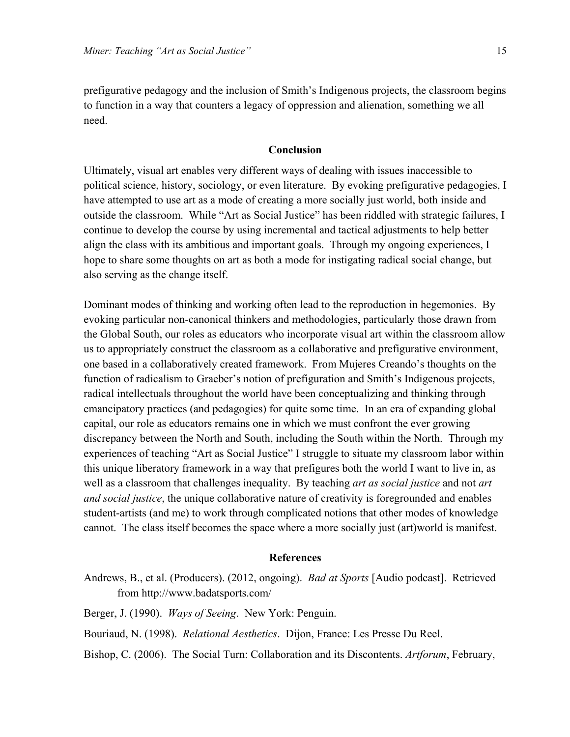prefigurative pedagogy and the inclusion of Smith's Indigenous projects, the classroom begins to function in a way that counters a legacy of oppression and alienation, something we all need.

#### **Conclusion**

Ultimately, visual art enables very different ways of dealing with issues inaccessible to political science, history, sociology, or even literature. By evoking prefigurative pedagogies, I have attempted to use art as a mode of creating a more socially just world, both inside and outside the classroom. While "Art as Social Justice" has been riddled with strategic failures, I continue to develop the course by using incremental and tactical adjustments to help better align the class with its ambitious and important goals. Through my ongoing experiences, I hope to share some thoughts on art as both a mode for instigating radical social change, but also serving as the change itself.

Dominant modes of thinking and working often lead to the reproduction in hegemonies. By evoking particular non-canonical thinkers and methodologies, particularly those drawn from the Global South, our roles as educators who incorporate visual art within the classroom allow us to appropriately construct the classroom as a collaborative and prefigurative environment, one based in a collaboratively created framework. From Mujeres Creando's thoughts on the function of radicalism to Graeber's notion of prefiguration and Smith's Indigenous projects, radical intellectuals throughout the world have been conceptualizing and thinking through emancipatory practices (and pedagogies) for quite some time. In an era of expanding global capital, our role as educators remains one in which we must confront the ever growing discrepancy between the North and South, including the South within the North. Through my experiences of teaching "Art as Social Justice" I struggle to situate my classroom labor within this unique liberatory framework in a way that prefigures both the world I want to live in, as well as a classroom that challenges inequality. By teaching *art as social justice* and not *art and social justice*, the unique collaborative nature of creativity is foregrounded and enables student-artists (and me) to work through complicated notions that other modes of knowledge cannot. The class itself becomes the space where a more socially just (art)world is manifest.

#### **References**

- Andrews, B., et al. (Producers). (2012, ongoing). *Bad at Sports* [Audio podcast]. Retrieved from http://www.badatsports.com/
- Berger, J. (1990). *Ways of Seeing*. New York: Penguin.
- Bouriaud, N. (1998). *Relational Aesthetics*. Dijon, France: Les Presse Du Reel.
- Bishop, C. (2006). The Social Turn: Collaboration and its Discontents. *Artforum*, February,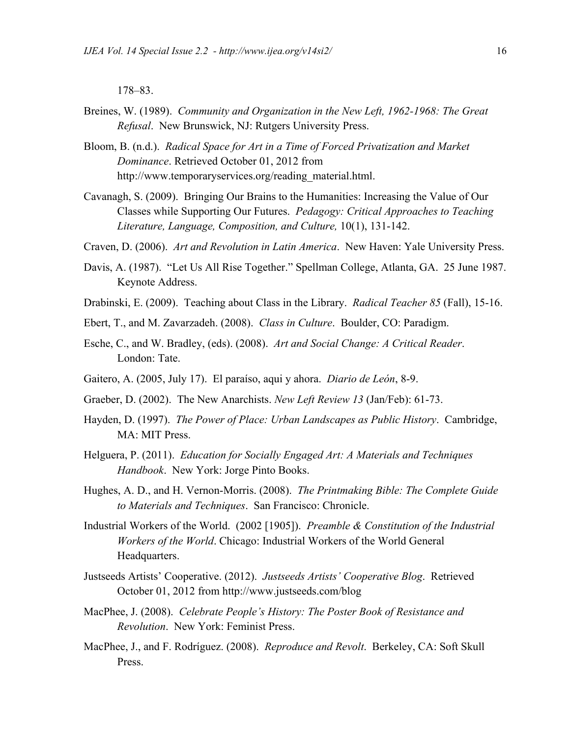178–83.

- Breines, W. (1989). *Community and Organization in the New Left, 1962-1968: The Great Refusal*. New Brunswick, NJ: Rutgers University Press.
- Bloom, B. (n.d.). *Radical Space for Art in a Time of Forced Privatization and Market Dominance*. Retrieved October 01, 2012 from http://www.temporaryservices.org/reading\_material.html.
- Cavanagh, S. (2009). Bringing Our Brains to the Humanities: Increasing the Value of Our Classes while Supporting Our Futures. *Pedagogy: Critical Approaches to Teaching Literature, Language, Composition, and Culture,* 10(1), 131-142.
- Craven, D. (2006). *Art and Revolution in Latin America*. New Haven: Yale University Press.
- Davis, A. (1987). "Let Us All Rise Together." Spellman College, Atlanta, GA. 25 June 1987. Keynote Address.
- Drabinski, E. (2009). Teaching about Class in the Library. *Radical Teacher 85* (Fall), 15-16.
- Ebert, T., and M. Zavarzadeh. (2008). *Class in Culture*. Boulder, CO: Paradigm.
- Esche, C., and W. Bradley, (eds). (2008). *Art and Social Change: A Critical Reader*. London: Tate.
- Gaitero, A. (2005, July 17). El paraíso, aqui y ahora. *Diario de León*, 8-9.
- Graeber, D. (2002). The New Anarchists. *New Left Review 13* (Jan/Feb): 61-73.
- Hayden, D. (1997). *The Power of Place: Urban Landscapes as Public History*. Cambridge, MA: MIT Press.
- Helguera, P. (2011). *Education for Socially Engaged Art: A Materials and Techniques Handbook*. New York: Jorge Pinto Books.
- Hughes, A. D., and H. Vernon-Morris. (2008). *The Printmaking Bible: The Complete Guide to Materials and Techniques*. San Francisco: Chronicle.
- Industrial Workers of the World. (2002 [1905]). *Preamble & Constitution of the Industrial Workers of the World*. Chicago: Industrial Workers of the World General Headquarters.
- Justseeds Artists' Cooperative. (2012). *Justseeds Artists' Cooperative Blog*. Retrieved October 01, 2012 from http://www.justseeds.com/blog
- MacPhee, J. (2008). *Celebrate People's History: The Poster Book of Resistance and Revolution*. New York: Feminist Press.
- MacPhee, J., and F. Rodríguez. (2008). *Reproduce and Revolt*. Berkeley, CA: Soft Skull Press.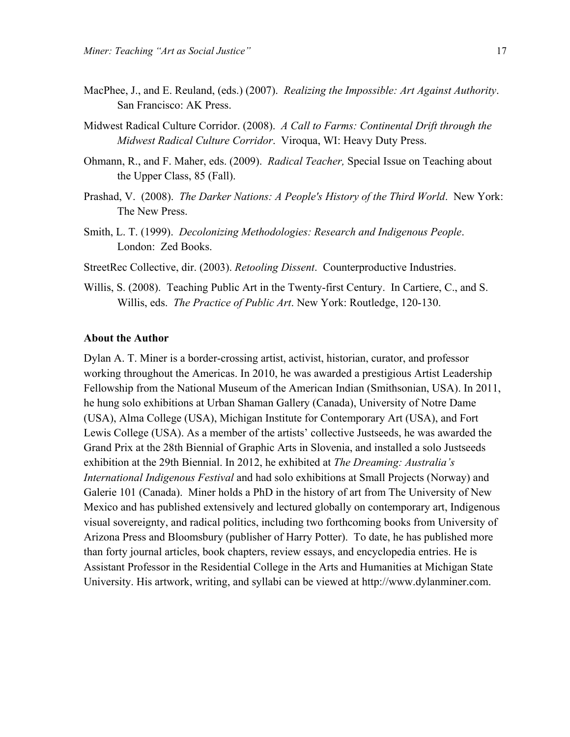- MacPhee, J., and E. Reuland, (eds.) (2007). *Realizing the Impossible: Art Against Authority*. San Francisco: AK Press.
- Midwest Radical Culture Corridor. (2008). *A Call to Farms: Continental Drift through the Midwest Radical Culture Corridor*. Viroqua, WI: Heavy Duty Press.
- Ohmann, R., and F. Maher, eds. (2009). *Radical Teacher,* Special Issue on Teaching about the Upper Class, 85 (Fall).
- Prashad, V. (2008). *The Darker Nations: A People's History of the Third World*. New York: The New Press.
- Smith, L. T. (1999). *Decolonizing Methodologies: Research and Indigenous People*. London: Zed Books.

StreetRec Collective, dir. (2003). *Retooling Dissent*. Counterproductive Industries.

Willis, S. (2008). Teaching Public Art in the Twenty-first Century. In Cartiere, C., and S. Willis, eds. *The Practice of Public Art*. New York: Routledge, 120-130.

#### **About the Author**

Dylan A. T. Miner is a border-crossing artist, activist, historian, curator, and professor working throughout the Americas. In 2010, he was awarded a prestigious Artist Leadership Fellowship from the National Museum of the American Indian (Smithsonian, USA). In 2011, he hung solo exhibitions at Urban Shaman Gallery (Canada), University of Notre Dame (USA), Alma College (USA), Michigan Institute for Contemporary Art (USA), and Fort Lewis College (USA). As a member of the artists' collective Justseeds, he was awarded the Grand Prix at the 28th Biennial of Graphic Arts in Slovenia, and installed a solo Justseeds exhibition at the 29th Biennial. In 2012, he exhibited at *The Dreaming: Australia's International Indigenous Festival* and had solo exhibitions at Small Projects (Norway) and Galerie 101 (Canada). Miner holds a PhD in the history of art from The University of New Mexico and has published extensively and lectured globally on contemporary art, Indigenous visual sovereignty, and radical politics, including two forthcoming books from University of Arizona Press and Bloomsbury (publisher of Harry Potter). To date, he has published more than forty journal articles, book chapters, review essays, and encyclopedia entries. He is Assistant Professor in the Residential College in the Arts and Humanities at Michigan State University. His artwork, writing, and syllabi can be viewed at http://www.dylanminer.com.